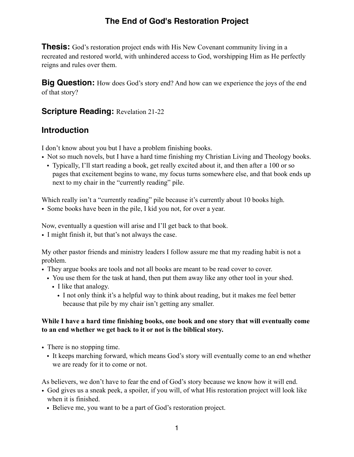# **The End of God's Restoration Project**

**Thesis:** God's restoration project ends with His New Covenant community living in a recreated and restored world, with unhindered access to God, worshipping Him as He perfectly reigns and rules over them.

**Big Question:** How does God's story end? And how can we experience the joys of the end of that story?

## **Scripture Reading: Revelation 21-22**

## **Introduction**

I don't know about you but I have a problem finishing books.

- Not so much novels, but I have a hard time finishing my Christian Living and Theology books.
	- Typically, I'll start reading a book, get really excited about it, and then after a 100 or so pages that excitement begins to wane, my focus turns somewhere else, and that book ends up next to my chair in the "currently reading" pile.

Which really isn't a "currently reading" pile because it's currently about 10 books high.

• Some books have been in the pile, I kid you not, for over a year.

Now, eventually a question will arise and I'll get back to that book.

• I might finish it, but that's not always the case.

My other pastor friends and ministry leaders I follow assure me that my reading habit is not a problem.

- They argue books are tools and not all books are meant to be read cover to cover.
	- You use them for the task at hand, then put them away like any other tool in your shed.
		- I like that analogy.
			- I not only think it's a helpful way to think about reading, but it makes me feel better because that pile by my chair isn't getting any smaller.

#### **While I have a hard time finishing books, one book and one story that will eventually come to an end whether we get back to it or not is the biblical story.**

- There is no stopping time.
	- It keeps marching forward, which means God's story will eventually come to an end whether we are ready for it to come or not.

As believers, we don't have to fear the end of God's story because we know how it will end.

- God gives us a sneak peek, a spoiler, if you will, of what His restoration project will look like when it is finished.
	- Believe me, you want to be a part of God's restoration project.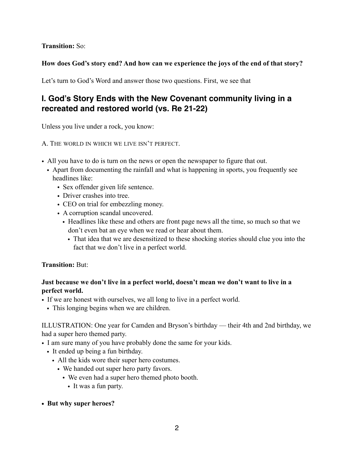## **Transition:** So:

### **How does God's story end? And how can we experience the joys of the end of that story?**

Let's turn to God's Word and answer those two questions. First, we see that

## **I. God's Story Ends with the New Covenant community living in a recreated and restored world (vs. Re 21-22)**

Unless you live under a rock, you know:

A. THE WORLD IN WHICH WE LIVE ISN'T PERFECT.

- All you have to do is turn on the news or open the newspaper to figure that out.
	- Apart from documenting the rainfall and what is happening in sports, you frequently see headlines like:
		- Sex offender given life sentence.
		- Driver crashes into tree.
		- CEO on trial for embezzling money.
		- A corruption scandal uncovered.
			- Headlines like these and others are front page news all the time, so much so that we don't even bat an eye when we read or hear about them.
				- That idea that we are desensitized to these shocking stories should clue you into the fact that we don't live in a perfect world.

#### **Transition:** But:

## **Just because we don't live in a perfect world, doesn't mean we don't want to live in a perfect world.**

- If we are honest with ourselves, we all long to live in a perfect world.
	- This longing begins when we are children.

ILLUSTRATION: One year for Camden and Bryson's birthday — their 4th and 2nd birthday, we had a super hero themed party.

- I am sure many of you have probably done the same for your kids.
	- It ended up being a fun birthday.
		- All the kids wore their super hero costumes.
			- We handed out super hero party favors.
				- We even had a super hero themed photo booth.
					- It was a fun party.
- **• But why super heroes?**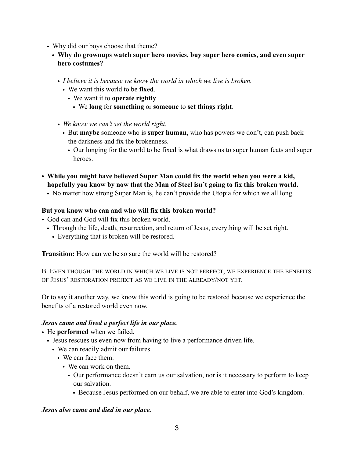- Why did our boys choose that theme?
	- **• Why do grownups watch super hero movies, buy super hero comics, and even super hero costumes?** 
		- *• I believe it is because we know the world in which we live is broken.* 
			- We want this world to be **fixed**.
				- We want it to **operate rightly**.
					- We **long** for **something** or **someone** to **set things right**.
		- *• We know we can't set the world right.* 
			- But **maybe** someone who is **super human**, who has powers we don't, can push back the darkness and fix the brokenness.
				- Our longing for the world to be fixed is what draws us to super human feats and super heroes.
- **• While you might have believed Super Man could fix the world when you were a kid, hopefully you know by now that the Man of Steel isn't going to fix this broken world.** 
	- No matter how strong Super Man is, he can't provide the Utopia for which we all long.

### **But you know who can and who will fix this broken world?**

- God can and God will fix this broken world.
	- Through the life, death, resurrection, and return of Jesus, everything will be set right.
		- Everything that is broken will be restored.

**Transition:** How can we be so sure the world will be restored?

B. EVEN THOUGH THE WORLD IN WHICH WE LIVE IS NOT PERFECT, WE EXPERIENCE THE BENEFITS OF JESUS' RESTORATION PROJECT AS WE LIVE IN THE ALREADY/NOT YET.

Or to say it another way, we know this world is going to be restored because we experience the benefits of a restored world even now.

#### *Jesus came and lived a perfect life in our place.*

- He **performed** when we failed.
	- Jesus rescues us even now from having to live a performance driven life.
		- We can readily admit our failures.
			- We can face them.
				- We can work on them.
					- Our performance doesn't earn us our salvation, nor is it necessary to perform to keep our salvation.
						- Because Jesus performed on our behalf, we are able to enter into God's kingdom.

#### *Jesus also came and died in our place.*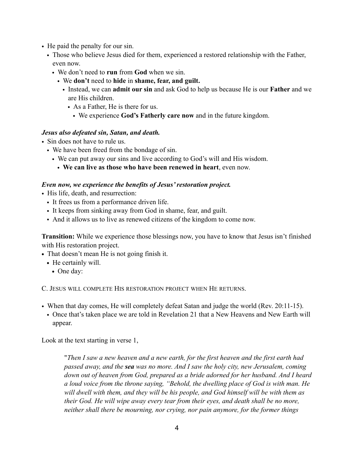- He paid the penalty for our sin.
	- Those who believe Jesus died for them, experienced a restored relationship with the Father, even now.
		- We don't need to **run** from **God** when we sin.
			- We **don't** need to **hide** in **shame, fear, and guilt.**
				- Instead, we can **admit our sin** and ask God to help us because He is our **Father** and we are His children.
					- As a Father, He is there for us.
						- We experience **God's Fatherly care now** and in the future kingdom.

#### *Jesus also defeated sin, Satan, and death.*

- Sin does not have to rule us.
	- We have been freed from the bondage of sin.
		- We can put away our sins and live according to God's will and His wisdom.
			- **We can live as those who have been renewed in heart**, even now.

#### *Even now, we experience the benefits of Jesus' restoration project.*

- His life, death, and resurrection:
	- It frees us from a performance driven life.
	- It keeps from sinking away from God in shame, fear, and guilt.
	- And it allows us to live as renewed citizens of the kingdom to come now.

**Transition:** While we experience those blessings now, you have to know that Jesus isn't finished with His restoration project.

- **•** That doesn't mean He is not going finish it.
	- **•** He certainly will.
		- **•** One day:

C. JESUS WILL COMPLETE HIS RESTORATION PROJECT WHEN HE RETURNS.

- When that day comes, He will completely defeat Satan and judge the world (Rev. 20:11-15).
- Once that's taken place we are told in Revelation 21 that a New Heavens and New Earth will appear.

Look at the text starting in verse 1,

"*Then I saw a new heaven and a new earth, for the first heaven and the first earth had passed away, and the sea was no more. And I saw the holy city, new Jerusalem, coming down out of heaven from God, prepared as a bride adorned for her husband. And I heard a loud voice from the throne saying, "Behold, the dwelling place of God is with man. He will dwell with them, and they will be his people, and God himself will be with them as their God. He will wipe away every tear from their eyes, and death shall be no more, neither shall there be mourning, nor crying, nor pain anymore, for the former things*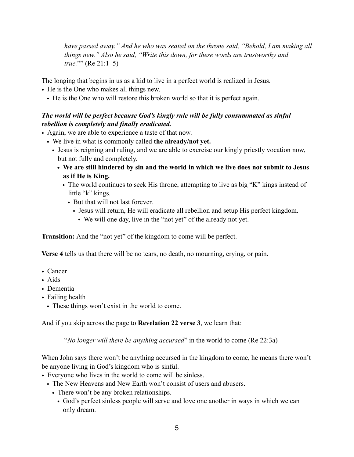*have passed away." And he who was seated on the throne said, "Behold, I am making all things new." Also he said, "Write this down, for these words are trustworthy and true.*"" (Re 21:1–5)

The longing that begins in us as a kid to live in a perfect world is realized in Jesus.

- He is the One who makes all things new.
	- He is the One who will restore this broken world so that it is perfect again.

## *The world will be perfect because God's kingly rule will be fully consummated as sinful rebellion is completely and finally eradicated.*

- Again, we are able to experience a taste of that now.
	- We live in what is commonly called **the already/not yet.** 
		- Jesus is reigning and ruling, and we are able to exercise our kingly priestly vocation now, but not fully and completely.
			- **• We are still hindered by sin and the world in which we live does not submit to Jesus as if He is King.** 
				- The world continues to seek His throne, attempting to live as big "K" kings instead of little "k" kings.
					- But that will not last forever.
						- Jesus will return, He will eradicate all rebellion and setup His perfect kingdom.
							- We will one day, live in the "not yet" of the already not yet.

**Transition:** And the "not yet" of the kingdom to come will be perfect.

**Verse 4** tells us that there will be no tears, no death, no mourning, crying, or pain.

- Cancer
- Aids
- Dementia
- Failing health
	- These things won't exist in the world to come.

And if you skip across the page to **Revelation 22 verse 3**, we learn that:

"*No longer will there be anything accursed*" in the world to come (Re 22:3a)

When John says there won't be anything accursed in the kingdom to come, he means there won't be anyone living in God's kingdom who is sinful.

- Everyone who lives in the world to come will be sinless.
	- The New Heavens and New Earth won't consist of users and abusers.
		- There won't be any broken relationships.
			- God's perfect sinless people will serve and love one another in ways in which we can only dream.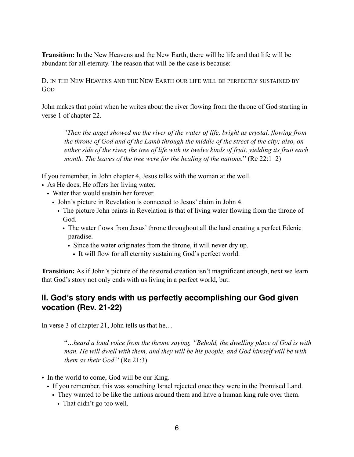**Transition:** In the New Heavens and the New Earth, there will be life and that life will be abundant for all eternity. The reason that will be the case is because:

D. IN THE NEW HEAVENS AND THE NEW EARTH OUR LIFE WILL BE PERFECTLY SUSTAINED BY GOD

John makes that point when he writes about the river flowing from the throne of God starting in verse 1 of chapter 22.

"*Then the angel showed me the river of the water of life, bright as crystal, flowing from the throne of God and of the Lamb through the middle of the street of the city; also, on either side of the river, the tree of life with its twelve kinds of fruit, yielding its fruit each month. The leaves of the tree were for the healing of the nations.*" (Re 22:1–2)

If you remember, in John chapter 4, Jesus talks with the woman at the well.

- As He does, He offers her living water.
	- Water that would sustain her forever.
		- John's picture in Revelation is connected to Jesus' claim in John 4.
			- The picture John paints in Revelation is that of living water flowing from the throne of God.
				- The water flows from Jesus' throne throughout all the land creating a perfect Edenic paradise.
					- Since the water originates from the throne, it will never dry up.
						- It will flow for all eternity sustaining God's perfect world.

**Transition:** As if John's picture of the restored creation isn't magnificent enough, next we learn that God's story not only ends with us living in a perfect world, but:

## **II. God's story ends with us perfectly accomplishing our God given vocation (Rev. 21-22)**

In verse 3 of chapter 21, John tells us that he…

"*…heard a loud voice from the throne saying, "Behold, the dwelling place of God is with man. He will dwell with them, and they will be his people, and God himself will be with them as their God*." (Re 21:3)

- In the world to come, God will be our King.
	- If you remember, this was something Israel rejected once they were in the Promised Land.
	- They wanted to be like the nations around them and have a human king rule over them.
		- That didn't go too well.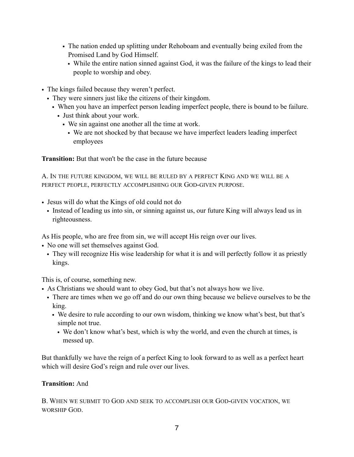- The nation ended up splitting under Rehoboam and eventually being exiled from the Promised Land by God Himself.
	- While the entire nation sinned against God, it was the failure of the kings to lead their people to worship and obey.
- The kings failed because they weren't perfect.
	- They were sinners just like the citizens of their kingdom.
		- When you have an imperfect person leading imperfect people, there is bound to be failure.
			- Just think about your work.
				- We sin against one another all the time at work.
					- We are not shocked by that because we have imperfect leaders leading imperfect employees

**Transition:** But that won't be the case in the future because

A. IN THE FUTURE KINGDOM, WE WILL BE RULED BY A PERFECT KING AND WE WILL BE A PERFECT PEOPLE, PERFECTLY ACCOMPLISHING OUR GOD-GIVEN PURPOSE.

- Jesus will do what the Kings of old could not do
	- Instead of leading us into sin, or sinning against us, our future King will always lead us in righteousness.

As His people, who are free from sin, we will accept His reign over our lives.

- No one will set themselves against God.
	- They will recognize His wise leadership for what it is and will perfectly follow it as priestly kings.

This is, of course, something new.

- As Christians we should want to obey God, but that's not always how we live.
	- There are times when we go off and do our own thing because we believe ourselves to be the king.
		- We desire to rule according to our own wisdom, thinking we know what's best, but that's simple not true.
			- We don't know what's best, which is why the world, and even the church at times, is messed up.

But thankfully we have the reign of a perfect King to look forward to as well as a perfect heart which will desire God's reign and rule over our lives.

#### **Transition:** And

B. WHEN WE SUBMIT TO GOD AND SEEK TO ACCOMPLISH OUR GOD-GIVEN VOCATION, WE WORSHIP GOD.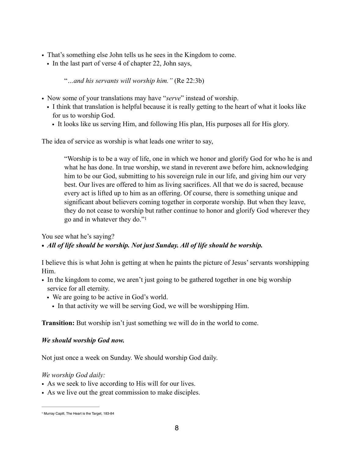- That's something else John tells us he sees in the Kingdom to come.
	- In the last part of verse 4 of chapter 22, John says,

"*…and his servants will worship him."* (Re 22:3b)

- Now some of your translations may have "*serve*" instead of worship.
	- I think that translation is helpful because it is really getting to the heart of what it looks like for us to worship God.
		- It looks like us serving Him, and following His plan, His purposes all for His glory.

The idea of service as worship is what leads one writer to say,

<span id="page-7-1"></span>"Worship is to be a way of life, one in which we honor and glorify God for who he is and what he has done. In true worship, we stand in reverent awe before him, acknowledging him to be our God, submitting to his sovereign rule in our life, and giving him our very best. Our lives are offered to him as living sacrifices. All that we do is sacred, because every act is lifted up to him as an offering. Of course, there is something unique and significant about believers coming together in corporate worship. But when they leave, they do not cease to worship but rather continue to honor and glorify God wherever they go and in whatever they do."[1](#page-7-0)

You see what he's saying?

## *• All of life should be worship. Not just Sunday. All of life should be worship.*

I believe this is what John is getting at when he paints the picture of Jesus' servants worshipping Him.

- In the kingdom to come, we aren't just going to be gathered together in one big worship service for all eternity.
	- We are going to be active in God's world.
		- In that activity we will be serving God, we will be worshipping Him.

**Transition:** But worship isn't just something we will do in the world to come.

#### *We should worship God now.*

Not just once a week on Sunday. We should worship God daily.

#### *We worship God daily:*

- As we seek to live according to His will for our lives.
- As we live out the great commission to make disciples.

<span id="page-7-0"></span>[<sup>1</sup>](#page-7-1) Murray Capill, The Heart is the Target, 183-84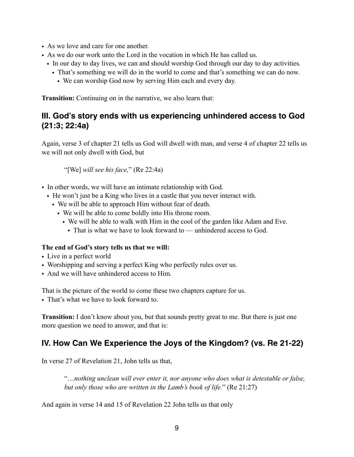- As we love and care for one another.
- As we do our work unto the Lord in the vocation in which He has called us.
	- In our day to day lives, we can and should worship God through our day to day activities.
		- That's something we will do in the world to come and that's something we can do now.
			- We can worship God now by serving Him each and every day.

**Transition:** Continuing on in the narrative, we also learn that:

## **III. God's story ends with us experiencing unhindered access to God (21:3; 22:4a)**

Again, verse 3 of chapter 21 tells us God will dwell with man, and verse 4 of chapter 22 tells us we will not only dwell with God, but

"[We] *will see his face,*" (Re 22:4a)

- In other words, we will have an intimate relationship with God.
	- He won't just be a King who lives in a castle that you never interact with.
		- We will be able to approach Him without fear of death.
			- We will be able to come boldly into His throne room.
				- We will be able to walk with Him in the cool of the garden like Adam and Eve.
					- That is what we have to look forward to unhindered access to God.

#### **The end of God's story tells us that we will:**

- Live in a perfect world
- Worshipping and serving a perfect King who perfectly rules over us.
- And we will have unhindered access to Him.

That is the picture of the world to come these two chapters capture for us.

• That's what we have to look forward to.

**Transition:** I don't know about you, but that sounds pretty great to me. But there is just one more question we need to answer, and that is:

## **IV. How Can We Experience the Joys of the Kingdom? (vs. Re 21-22)**

In verse 27 of Revelation 21, John tells us that,

"…*nothing unclean will ever enter it, nor anyone who does what is detestable or false, but only those who are written in the Lamb's book of life.*" (Re 21:27)

And again in verse 14 and 15 of Revelation 22 John tells us that only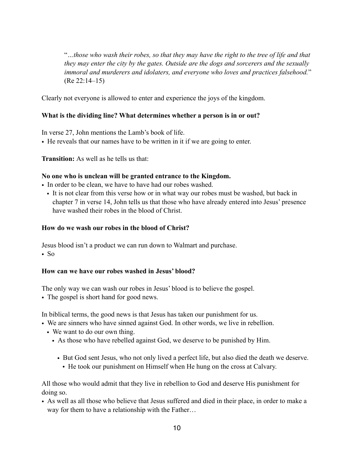"*…those who wash their robes, so that they may have the right to the tree of life and that they may enter the city by the gates. Outside are the dogs and sorcerers and the sexually immoral and murderers and idolaters, and everyone who loves and practices falsehood.*" (Re 22:14–15)

Clearly not everyone is allowed to enter and experience the joys of the kingdom.

### **What is the dividing line? What determines whether a person is in or out?**

In verse 27, John mentions the Lamb's book of life.

• He reveals that our names have to be written in it if we are going to enter.

**Transition:** As well as he tells us that:

#### **No one who is unclean will be granted entrance to the Kingdom.**

- In order to be clean, we have to have had our robes washed.
	- It is not clear from this verse how or in what way our robes must be washed, but back in chapter 7 in verse 14, John tells us that those who have already entered into Jesus' presence have washed their robes in the blood of Christ.

#### **How do we wash our robes in the blood of Christ?**

Jesus blood isn't a product we can run down to Walmart and purchase.  $\cdot$  So

#### **How can we have our robes washed in Jesus' blood?**

The only way we can wash our robes in Jesus' blood is to believe the gospel.

• The gospel is short hand for good news.

In biblical terms, the good news is that Jesus has taken our punishment for us.

- We are sinners who have sinned against God. In other words, we live in rebellion.
	- We want to do our own thing.
		- As those who have rebelled against God, we deserve to be punished by Him.
			- But God sent Jesus, who not only lived a perfect life, but also died the death we deserve.
				- He took our punishment on Himself when He hung on the cross at Calvary.

All those who would admit that they live in rebellion to God and deserve His punishment for doing so.

• As well as all those who believe that Jesus suffered and died in their place, in order to make a way for them to have a relationship with the Father…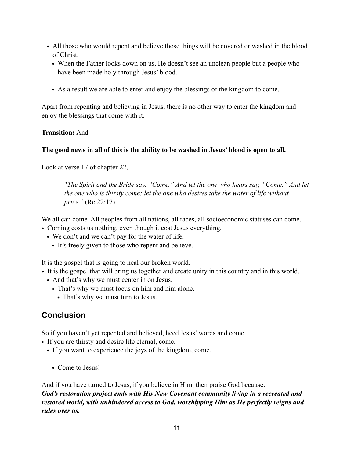- All those who would repent and believe those things will be covered or washed in the blood of Christ.
	- When the Father looks down on us, He doesn't see an unclean people but a people who have been made holy through Jesus' blood.
	- As a result we are able to enter and enjoy the blessings of the kingdom to come.

Apart from repenting and believing in Jesus, there is no other way to enter the kingdom and enjoy the blessings that come with it.

#### **Transition:** And

### **The good news in all of this is the ability to be washed in Jesus' blood is open to all.**

Look at verse 17 of chapter 22,

"*The Spirit and the Bride say, "Come." And let the one who hears say, "Come." And let the one who is thirsty come; let the one who desires take the water of life without price.*" (Re 22:17)

We all can come. All peoples from all nations, all races, all socioeconomic statuses can come.

- Coming costs us nothing, even though it cost Jesus everything.
	- We don't and we can't pay for the water of life.
		- It's freely given to those who repent and believe.

It is the gospel that is going to heal our broken world.

- It is the gospel that will bring us together and create unity in this country and in this world.
	- And that's why we must center in on Jesus.
		- That's why we must focus on him and him alone.
			- That's why we must turn to Jesus.

## **Conclusion**

So if you haven't yet repented and believed, heed Jesus' words and come.

• If you are thirsty and desire life eternal, come.

- If you want to experience the joys of the kingdom, come.
	- Come to Jesus!

And if you have turned to Jesus, if you believe in Him, then praise God because: *God's restoration project ends with His New Covenant community living in a recreated and restored world, with unhindered access to God, worshipping Him as He perfectly reigns and rules over us.*